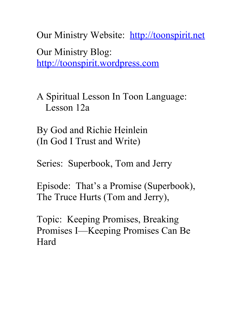Our Ministry Website: [http://toonspirit.net](http://toonspirit.net/) Our Ministry Blog: [http://toonspirit.wordpress.com](http://toonspirit.wordpress.com/)

A Spiritual Lesson In Toon Language: Lesson 12a

By God and Richie Heinlein (In God I Trust and Write)

Series: Superbook, Tom and Jerry

Episode: That's a Promise (Superbook), The Truce Hurts (Tom and Jerry),

Topic: Keeping Promises, Breaking Promises I—Keeping Promises Can Be Hard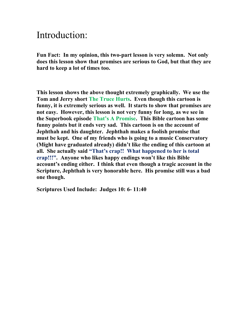## Introduction:

**Fun Fact: In my opinion, this two-part lesson is very solemn. Not only does this lesson show that promises are serious to God, but that they are hard to keep a lot of times too.**

**This lesson shows the above thought extremely graphically. We use the Tom and Jerry short The Truce Hurts. Even though this cartoon is funny, it is extremely serious as well. It starts to show that promises are not easy. However, this lesson is not very funny for long, as we see in the Superbook episode That's A Promise. This Bible cartoon has some funny points but it ends very sad. This cartoon is on the account of Jephthah and his daughter. Jephthah makes a foolish promise that must be kept. One of my friends who is going to a music Conservatory (Might have graduated already) didn't like the ending of this cartoon at all. She actually said "That's crap!! What happened to her is total crap!!!". Anyone who likes happy endings won't like this Bible account's ending either. I think that even though a tragic account in the Scripture, Jephthah is very honorable here. His promise still was a bad one though.**

**Scriptures Used Include: Judges 10: 6- 11:40**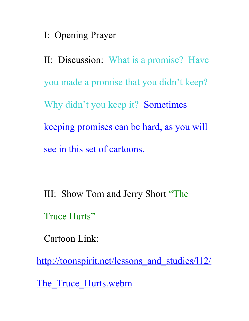I: Opening Prayer

II: Discussion: What is a promise? Have you made a promise that you didn't keep? Why didn't you keep it? Sometimes keeping promises can be hard, as you will see in this set of cartoons.

III: Show Tom and Jerry Short "The Truce Hurts"

Cartoon Link:

[http://toonspirit.net/lessons\\_and\\_studies/l12/](http://toonspirit.net/lessons_and_studies/l12/The_Truce_Hurts.webm)

The Truce Hurts.webm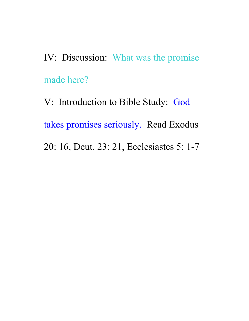IV: Discussion: What was the promise made here?

V: Introduction to Bible Study: God takes promises seriously. Read Exodus 20: 16, Deut. 23: 21, Ecclesiastes 5: 1-7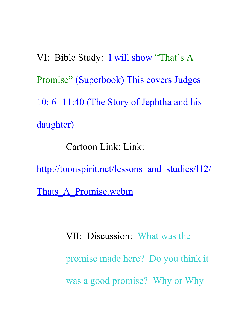VI: Bible Study: I will show "That's A Promise" (Superbook) This covers Judges 10: 6- 11:40 (The Story of Jephtha and his daughter)

Cartoon Link: Link:

http://toonspirit.net/lessons and studies/l12/ Thats A Promise.webm

> VII: Discussion: What was the promise made here? Do you think it was a good promise? Why or Why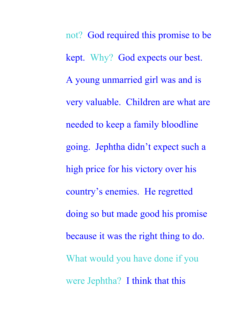not? God required this promise to be kept. Why? God expects our best. A young unmarried girl was and is very valuable. Children are what are needed to keep a family bloodline going. Jephtha didn't expect such a high price for his victory over his country's enemies. He regretted doing so but made good his promise because it was the right thing to do. What would you have done if you were Jephtha? I think that this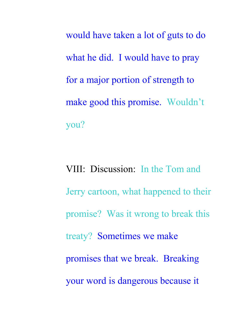would have taken a lot of guts to do what he did. I would have to pray for a major portion of strength to make good this promise. Wouldn't you?

VIII: Discussion: In the Tom and Jerry cartoon, what happened to their promise? Was it wrong to break this treaty? Sometimes we make promises that we break. Breaking your word is dangerous because it